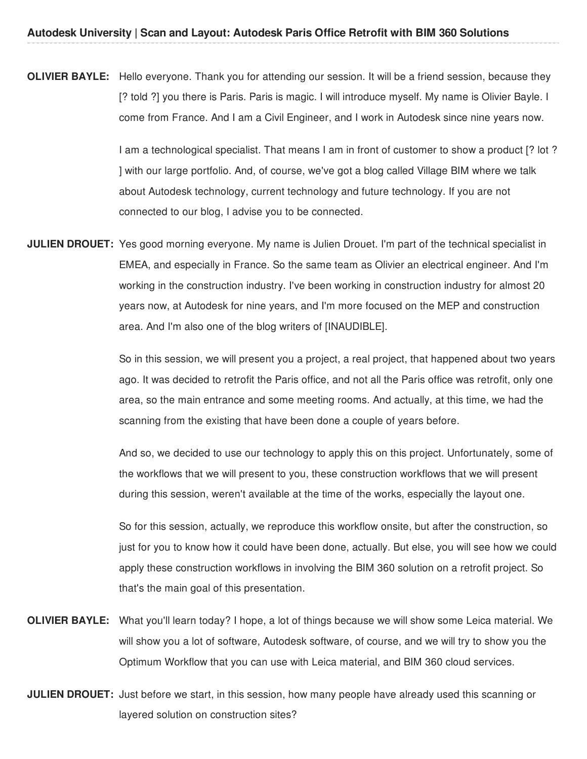**OLIVIER BAYLE:** Hello everyone. Thank you for attending our session. It will be a friend session, because they [? told ?] you there is Paris. Paris is magic. I will introduce myself. My name is Olivier Bayle. I come from France. And I am a Civil Engineer, and I work in Autodesk since nine years now.

> I am a technological specialist. That means I am in front of customer to show a product [? lot ? ] with our large portfolio. And, of course, we've got a blog called Village BIM where we talk about Autodesk technology, current technology and future technology. If you are not connected to our blog, I advise you to be connected.

**JULIEN DROUET:** Yes good morning everyone. My name is Julien Drouet. I'm part of the technical specialist in EMEA, and especially in France. So the same team as Olivier an electrical engineer. And I'm working in the construction industry. I've been working in construction industry for almost 20 years now, at Autodesk for nine years, and I'm more focused on the MEP and construction area. And I'm also one of the blog writers of [INAUDIBLE].

> So in this session, we will present you a project, a real project, that happened about two years ago. It was decided to retrofit the Paris office, and not all the Paris office was retrofit, only one area, so the main entrance and some meeting rooms. And actually, at this time, we had the scanning from the existing that have been done a couple of years before.

> And so, we decided to use our technology to apply this on this project. Unfortunately, some of the workflows that we will present to you, these construction workflows that we will present during this session, weren't available at the time of the works, especially the layout one.

> So for this session, actually, we reproduce this workflow onsite, but after the construction, so just for you to know how it could have been done, actually. But else, you will see how we could apply these construction workflows in involving the BIM 360 solution on a retrofit project. So that's the main goal of this presentation.

- **OLIVIER BAYLE:** What you'll learn today? I hope, a lot of things because we will show some Leica material. We will show you a lot of software, Autodesk software, of course, and we will try to show you the Optimum Workflow that you can use with Leica material, and BIM 360 cloud services.
- **JULIEN DROUET:** Just before we start, in this session, how many people have already used this scanning or layered solution on construction sites?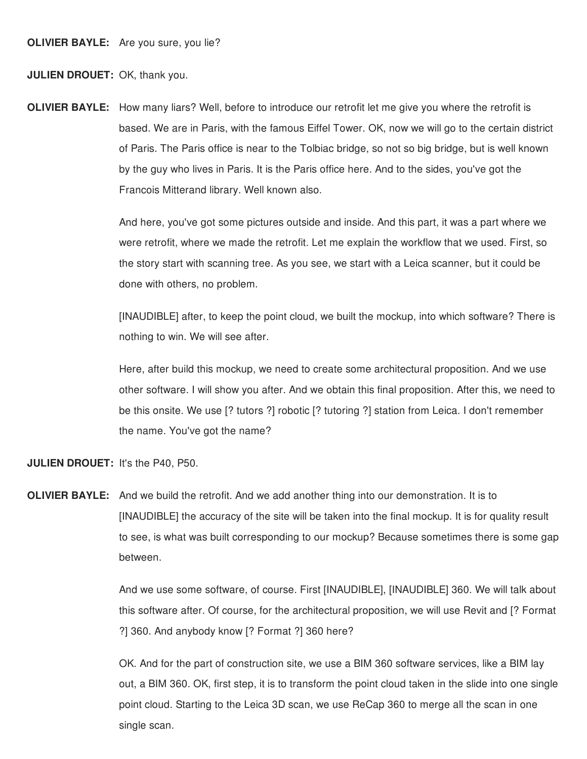**JULIEN DROUET:** OK, thank you.

**OLIVIER BAYLE:** How many liars? Well, before to introduce our retrofit let me give you where the retrofit is based. We are in Paris, with the famous Eiffel Tower. OK, now we will go to the certain district of Paris. The Paris office is near to the Tolbiac bridge, so not so big bridge, but is well known by the guy who lives in Paris. It is the Paris office here. And to the sides, you've got the Francois Mitterand library. Well known also.

> And here, you've got some pictures outside and inside. And this part, it was a part where we were retrofit, where we made the retrofit. Let me explain the workflow that we used. First, so the story start with scanning tree. As you see, we start with a Leica scanner, but it could be done with others, no problem.

[INAUDIBLE] after, to keep the point cloud, we built the mockup, into which software? There is nothing to win. We will see after.

Here, after build this mockup, we need to create some architectural proposition. And we use other software. I will show you after. And we obtain this final proposition. After this, we need to be this onsite. We use [? tutors ?] robotic [? tutoring ?] station from Leica. I don't remember the name. You've got the name?

**JULIEN DROUET:** It's the P40, P50.

**OLIVIER BAYLE:** And we build the retrofit. And we add another thing into our demonstration. It is to [INAUDIBLE] the accuracy of the site will be taken into the final mockup. It is for quality result to see, is what was built corresponding to our mockup? Because sometimes there is some gap between.

> And we use some software, of course. First [INAUDIBLE], [INAUDIBLE] 360. We will talk about this software after. Of course, for the architectural proposition, we will use Revit and [? Format ?] 360. And anybody know [? Format ?] 360 here?

> OK. And for the part of construction site, we use a BIM 360 software services, like a BIM lay out, a BIM 360. OK, first step, it is to transform the point cloud taken in the slide into one single point cloud. Starting to the Leica 3D scan, we use ReCap 360 to merge all the scan in one single scan.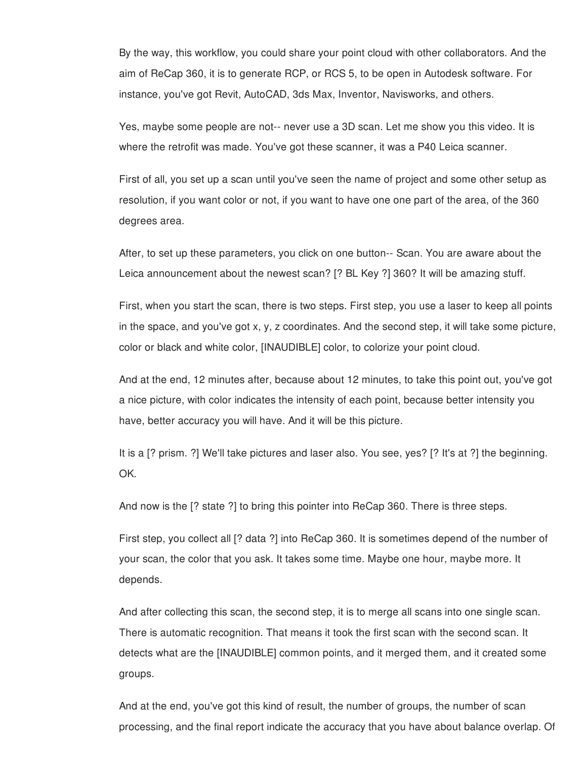By the way, this workflow, you could share your point cloud with other collaborators. And the aim of ReCap 360, it is to generate RCP, or RCS 5, to be open in Autodesk software. For instance, you've got Revit, AutoCAD, 3ds Max, Inventor, Navisworks, and others.

Yes, maybe some people are not-- never use a 3D scan. Let me show you this video. It is where the retrofit was made. You've got these scanner, it was a P40 Leica scanner.

First of all, you set up a scan until you've seen the name of project and some other setup as resolution, if you want color or not, if you want to have one one part of the area, of the 360 degrees area.

After, to set up these parameters, you click on one button-- Scan. You are aware about the Leica announcement about the newest scan? [? BL Key ?] 360? It will be amazing stuff.

First, when you start the scan, there is two steps. First step, you use a laser to keep all points in the space, and you've got x, y, z coordinates. And the second step, it will take some picture, color or black and white color, [INAUDIBLE] color, to colorize your point cloud.

And at the end, 12 minutes after, because about 12 minutes, to take this point out, you've got a nice picture, with color indicates the intensity of each point, because better intensity you have, better accuracy you will have. And it will be this picture.

It is a [? prism. ?] We'll take pictures and laser also. You see, yes? [? It's at ?] the beginning. OK.

And now is the [? state ?] to bring this pointer into ReCap 360. There is three steps.

First step, you collect all [? data ?] into ReCap 360. It is sometimes depend of the number of your scan, the color that you ask. It takes some time. Maybe one hour, maybe more. It depends.

And after collecting this scan, the second step, it is to merge all scans into one single scan. There is automatic recognition. That means it took the first scan with the second scan. It detects what are the [INAUDIBLE] common points, and it merged them, and it created some groups.

And at the end, you've got this kind of result, the number of groups, the number of scan processing, and the final report indicate the accuracy that you have about balance overlap. Of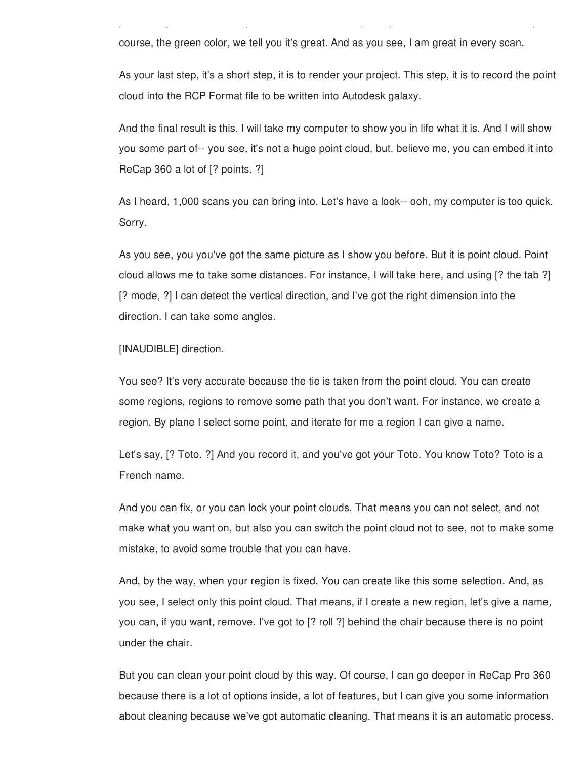course, the green color, we tell you it's great. And as you see, I am great in every scan.

As your last step, it's a short step, it is to render your project. This step, it is to record the point cloud into the RCP Format file to be written into Autodesk galaxy.

processing, and the final report indicate the accuracy that you have about balance overlap. Of

And the final result is this. I will take my computer to show you in life what it is. And I will show you some part of-- you see, it's not a huge point cloud, but, believe me, you can embed it into ReCap 360 a lot of [? points. ?]

As I heard, 1,000 scans you can bring into. Let's have a look-- ooh, my computer is too quick. Sorry.

As you see, you you've got the same picture as I show you before. But it is point cloud. Point cloud allows me to take some distances. For instance, I will take here, and using [? the tab ?] [? mode, ?] I can detect the vertical direction, and I've got the right dimension into the direction. I can take some angles.

## [INAUDIBLE] direction.

You see? It's very accurate because the tie is taken from the point cloud. You can create some regions, regions to remove some path that you don't want. For instance, we create a region. By plane I select some point, and iterate for me a region I can give a name.

Let's say, [? Toto. ?] And you record it, and you've got your Toto. You know Toto? Toto is a French name.

And you can fix, or you can lock your point clouds. That means you can not select, and not make what you want on, but also you can switch the point cloud not to see, not to make some mistake, to avoid some trouble that you can have.

And, by the way, when your region is fixed. You can create like this some selection. And, as you see, I select only this point cloud. That means, if I create a new region, let's give a name, you can, if you want, remove. I've got to [? roll ?] behind the chair because there is no point under the chair.

But you can clean your point cloud by this way. Of course, I can go deeper in ReCap Pro 360 because there is a lot of options inside, a lot of features, but I can give you some information about cleaning because we've got automatic cleaning. That means it is an automatic process.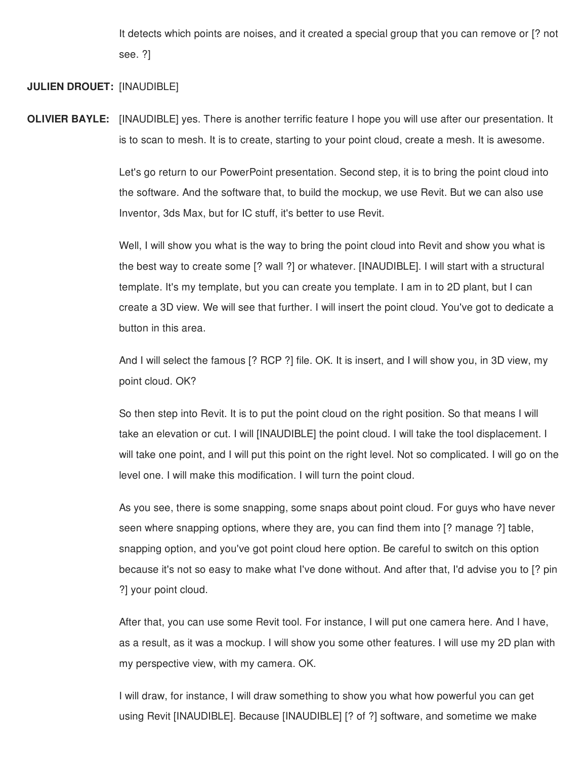It detects which points are noises, and it created a special group that you can remove or [? not see. ?]

## **JULIEN DROUET:** [INAUDIBLE]

**OLIVIER BAYLE:** [INAUDIBLE] yes. There is another terrific feature I hope you will use after our presentation. It is to scan to mesh. It is to create, starting to your point cloud, create a mesh. It is awesome.

> Let's go return to our PowerPoint presentation. Second step, it is to bring the point cloud into the software. And the software that, to build the mockup, we use Revit. But we can also use Inventor, 3ds Max, but for IC stuff, it's better to use Revit.

Well, I will show you what is the way to bring the point cloud into Revit and show you what is the best way to create some [? wall ?] or whatever. [INAUDIBLE]. I will start with a structural template. It's my template, but you can create you template. I am in to 2D plant, but I can create a 3D view. We will see that further. I will insert the point cloud. You've got to dedicate a button in this area.

And I will select the famous [? RCP ?] file. OK. It is insert, and I will show you, in 3D view, my point cloud. OK?

So then step into Revit. It is to put the point cloud on the right position. So that means I will take an elevation or cut. I will [INAUDIBLE] the point cloud. I will take the tool displacement. I will take one point, and I will put this point on the right level. Not so complicated. I will go on the level one. I will make this modification. I will turn the point cloud.

As you see, there is some snapping, some snaps about point cloud. For guys who have never seen where snapping options, where they are, you can find them into [? manage ?] table, snapping option, and you've got point cloud here option. Be careful to switch on this option because it's not so easy to make what I've done without. And after that, I'd advise you to [? pin ?] your point cloud.

After that, you can use some Revit tool. For instance, I will put one camera here. And I have, as a result, as it was a mockup. I will show you some other features. I will use my 2D plan with my perspective view, with my camera. OK.

I will draw, for instance, I will draw something to show you what how powerful you can get using Revit [INAUDIBLE]. Because [INAUDIBLE] [? of ?] software, and sometime we make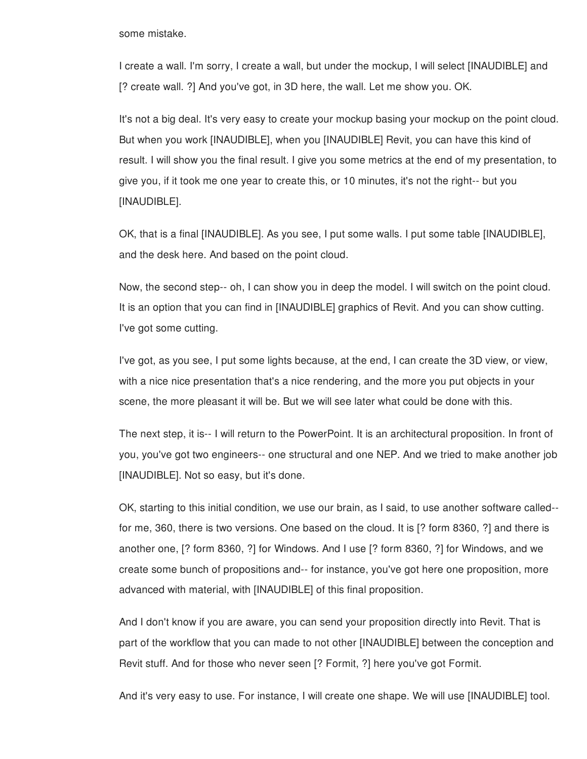some mistake.

I create a wall. I'm sorry, I create a wall, but under the mockup, I will select [INAUDIBLE] and [? create wall. ?] And you've got, in 3D here, the wall. Let me show you. OK.

It's not a big deal. It's very easy to create your mockup basing your mockup on the point cloud. But when you work [INAUDIBLE], when you [INAUDIBLE] Revit, you can have this kind of result. I will show you the final result. I give you some metrics at the end of my presentation, to give you, if it took me one year to create this, or 10 minutes, it's not the right-- but you [INAUDIBLE].

OK, that is a final [INAUDIBLE]. As you see, I put some walls. I put some table [INAUDIBLE], and the desk here. And based on the point cloud.

Now, the second step-- oh, I can show you in deep the model. I will switch on the point cloud. It is an option that you can find in [INAUDIBLE] graphics of Revit. And you can show cutting. I've got some cutting.

I've got, as you see, I put some lights because, at the end, I can create the 3D view, or view, with a nice nice presentation that's a nice rendering, and the more you put objects in your scene, the more pleasant it will be. But we will see later what could be done with this.

The next step, it is-- I will return to the PowerPoint. It is an architectural proposition. In front of you, you've got two engineers-- one structural and one NEP. And we tried to make another job [INAUDIBLE]. Not so easy, but it's done.

OK, starting to this initial condition, we use our brain, as I said, to use another software called- for me, 360, there is two versions. One based on the cloud. It is [? form 8360, ?] and there is another one, [? form 8360, ?] for Windows. And I use [? form 8360, ?] for Windows, and we create some bunch of propositions and-- for instance, you've got here one proposition, more advanced with material, with [INAUDIBLE] of this final proposition.

And I don't know if you are aware, you can send your proposition directly into Revit. That is part of the workflow that you can made to not other [INAUDIBLE] between the conception and Revit stuff. And for those who never seen [? Formit, ?] here you've got Formit.

And it's very easy to use. For instance, I will create one shape. We will use [INAUDIBLE] tool.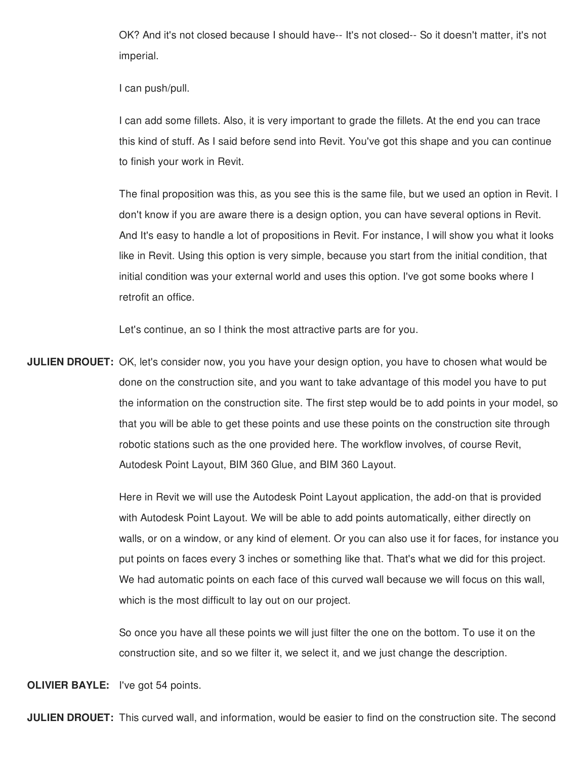OK? And it's not closed because I should have-- It's not closed-- So it doesn't matter, it's not imperial.

I can push/pull.

I can add some fillets. Also, it is very important to grade the fillets. At the end you can trace this kind of stuff. As I said before send into Revit. You've got this shape and you can continue to finish your work in Revit.

The final proposition was this, as you see this is the same file, but we used an option in Revit. I don't know if you are aware there is a design option, you can have several options in Revit. And It's easy to handle a lot of propositions in Revit. For instance, I will show you what it looks like in Revit. Using this option is very simple, because you start from the initial condition, that initial condition was your external world and uses this option. I've got some books where I retrofit an office.

Let's continue, an so I think the most attractive parts are for you.

**JULIEN DROUET:** OK, let's consider now, you you have your design option, you have to chosen what would be done on the construction site, and you want to take advantage of this model you have to put the information on the construction site. The first step would be to add points in your model, so that you will be able to get these points and use these points on the construction site through robotic stations such as the one provided here. The workflow involves, of course Revit, Autodesk Point Layout, BIM 360 Glue, and BIM 360 Layout.

> Here in Revit we will use the Autodesk Point Layout application, the add-on that is provided with Autodesk Point Layout. We will be able to add points automatically, either directly on walls, or on a window, or any kind of element. Or you can also use it for faces, for instance you put points on faces every 3 inches or something like that. That's what we did for this project. We had automatic points on each face of this curved wall because we will focus on this wall, which is the most difficult to lay out on our project.

So once you have all these points we will just filter the one on the bottom. To use it on the construction site, and so we filter it, we select it, and we just change the description.

**OLIVIER BAYLE:** I've got 54 points.

**JULIEN DROUET:** This curved wall, and information, would be easier to find on the construction site. The second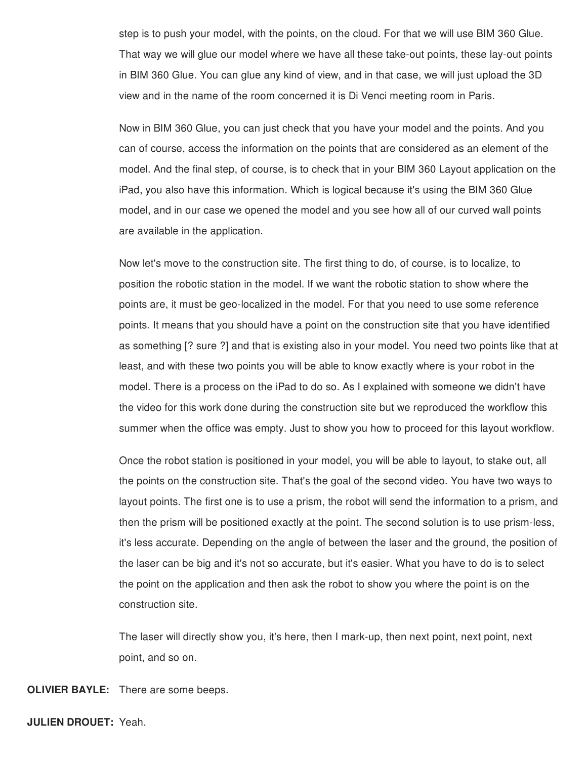step is to push your model, with the points, on the cloud. For that we will use BIM 360 Glue. That way we will glue our model where we have all these take-out points, these lay-out points in BIM 360 Glue. You can glue any kind of view, and in that case, we will just upload the 3D view and in the name of the room concerned it is Di Venci meeting room in Paris.

Now in BIM 360 Glue, you can just check that you have your model and the points. And you can of course, access the information on the points that are considered as an element of the model. And the final step, of course, is to check that in your BIM 360 Layout application on the iPad, you also have this information. Which is logical because it's using the BIM 360 Glue model, and in our case we opened the model and you see how all of our curved wall points are available in the application.

Now let's move to the construction site. The first thing to do, of course, is to localize, to position the robotic station in the model. If we want the robotic station to show where the points are, it must be geo-localized in the model. For that you need to use some reference points. It means that you should have a point on the construction site that you have identified as something [? sure ?] and that is existing also in your model. You need two points like that at least, and with these two points you will be able to know exactly where is your robot in the model. There is a process on the iPad to do so. As I explained with someone we didn't have the video for this work done during the construction site but we reproduced the workflow this summer when the office was empty. Just to show you how to proceed for this layout workflow.

Once the robot station is positioned in your model, you will be able to layout, to stake out, all the points on the construction site. That's the goal of the second video. You have two ways to layout points. The first one is to use a prism, the robot will send the information to a prism, and then the prism will be positioned exactly at the point. The second solution is to use prism-less, it's less accurate. Depending on the angle of between the laser and the ground, the position of the laser can be big and it's not so accurate, but it's easier. What you have to do is to select the point on the application and then ask the robot to show you where the point is on the construction site.

The laser will directly show you, it's here, then I mark-up, then next point, next point, next point, and so on.

**OLIVIER BAYLE:** There are some beeps.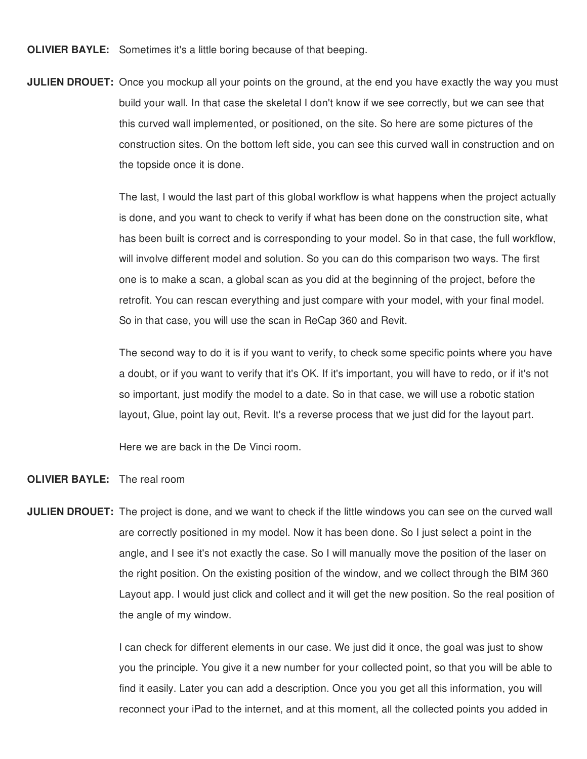**OLIVIER BAYLE:** Sometimes it's a little boring because of that beeping.

**JULIEN DROUET:** Once you mockup all your points on the ground, at the end you have exactly the way you must build your wall. In that case the skeletal I don't know if we see correctly, but we can see that this curved wall implemented, or positioned, on the site. So here are some pictures of the construction sites. On the bottom left side, you can see this curved wall in construction and on the topside once it is done.

> The last, I would the last part of this global workflow is what happens when the project actually is done, and you want to check to verify if what has been done on the construction site, what has been built is correct and is corresponding to your model. So in that case, the full workflow, will involve different model and solution. So you can do this comparison two ways. The first one is to make a scan, a global scan as you did at the beginning of the project, before the retrofit. You can rescan everything and just compare with your model, with your final model. So in that case, you will use the scan in ReCap 360 and Revit.

The second way to do it is if you want to verify, to check some specific points where you have a doubt, or if you want to verify that it's OK. If it's important, you will have to redo, or if it's not so important, just modify the model to a date. So in that case, we will use a robotic station layout, Glue, point lay out, Revit. It's a reverse process that we just did for the layout part.

Here we are back in the De Vinci room.

## **OLIVIER BAYLE:** The real room

**JULIEN DROUET:** The project is done, and we want to check if the little windows you can see on the curved wall are correctly positioned in my model. Now it has been done. So I just select a point in the angle, and I see it's not exactly the case. So I will manually move the position of the laser on the right position. On the existing position of the window, and we collect through the BIM 360 Layout app. I would just click and collect and it will get the new position. So the real position of the angle of my window.

> I can check for different elements in our case. We just did it once, the goal was just to show you the principle. You give it a new number for your collected point, so that you will be able to find it easily. Later you can add a description. Once you you get all this information, you will reconnect your iPad to the internet, and at this moment, all the collected points you added in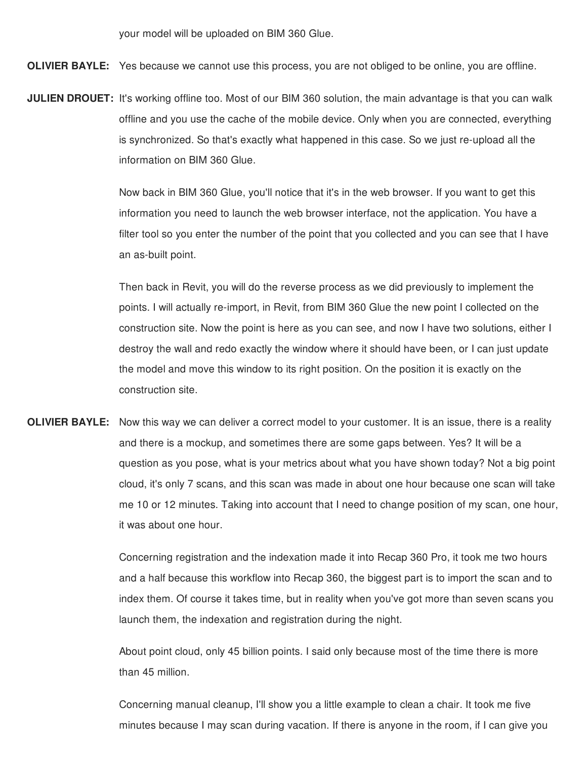your model will be uploaded on BIM 360 Glue.

**OLIVIER BAYLE:** Yes because we cannot use this process, you are not obliged to be online, you are offline.

**JULIEN DROUET:** It's working offline too. Most of our BIM 360 solution, the main advantage is that you can walk offline and you use the cache of the mobile device. Only when you are connected, everything is synchronized. So that's exactly what happened in this case. So we just re-upload all the information on BIM 360 Glue.

> Now back in BIM 360 Glue, you'll notice that it's in the web browser. If you want to get this information you need to launch the web browser interface, not the application. You have a filter tool so you enter the number of the point that you collected and you can see that I have an as-built point.

> Then back in Revit, you will do the reverse process as we did previously to implement the points. I will actually re-import, in Revit, from BIM 360 Glue the new point I collected on the construction site. Now the point is here as you can see, and now I have two solutions, either I destroy the wall and redo exactly the window where it should have been, or I can just update the model and move this window to its right position. On the position it is exactly on the construction site.

**OLIVIER BAYLE:** Now this way we can deliver a correct model to your customer. It is an issue, there is a reality and there is a mockup, and sometimes there are some gaps between. Yes? It will be a question as you pose, what is your metrics about what you have shown today? Not a big point cloud, it's only 7 scans, and this scan was made in about one hour because one scan will take me 10 or 12 minutes. Taking into account that I need to change position of my scan, one hour, it was about one hour.

> Concerning registration and the indexation made it into Recap 360 Pro, it took me two hours and a half because this workflow into Recap 360, the biggest part is to import the scan and to index them. Of course it takes time, but in reality when you've got more than seven scans you launch them, the indexation and registration during the night.

About point cloud, only 45 billion points. I said only because most of the time there is more than 45 million.

Concerning manual cleanup, I'll show you a little example to clean a chair. It took me five minutes because I may scan during vacation. If there is anyone in the room, if I can give you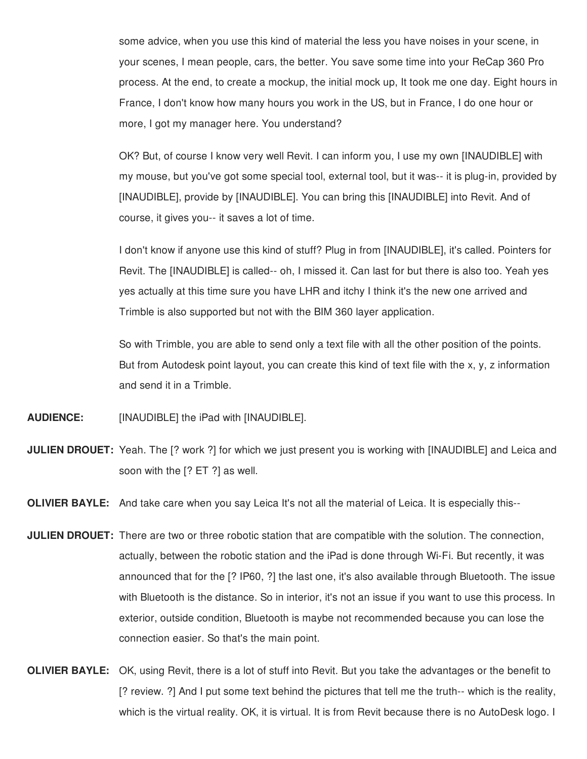some advice, when you use this kind of material the less you have noises in your scene, in your scenes, I mean people, cars, the better. You save some time into your ReCap 360 Pro process. At the end, to create a mockup, the initial mock up, It took me one day. Eight hours in France, I don't know how many hours you work in the US, but in France, I do one hour or more, I got my manager here. You understand?

OK? But, of course I know very well Revit. I can inform you, I use my own [INAUDIBLE] with my mouse, but you've got some special tool, external tool, but it was-- it is plug-in, provided by [INAUDIBLE], provide by [INAUDIBLE]. You can bring this [INAUDIBLE] into Revit. And of course, it gives you-- it saves a lot of time.

I don't know if anyone use this kind of stuff? Plug in from [INAUDIBLE], it's called. Pointers for Revit. The [INAUDIBLE] is called-- oh, I missed it. Can last for but there is also too. Yeah yes yes actually at this time sure you have LHR and itchy I think it's the new one arrived and Trimble is also supported but not with the BIM 360 layer application.

So with Trimble, you are able to send only a text file with all the other position of the points. But from Autodesk point layout, you can create this kind of text file with the x, y, z information and send it in a Trimble.

**AUDIENCE:** [INAUDIBLE] the iPad with [INAUDIBLE].

**JULIEN DROUET:** Yeah. The [? work ?] for which we just present you is working with [INAUDIBLE] and Leica and soon with the [? ET ?] as well.

**OLIVIER BAYLE:** And take care when you say Leica It's not all the material of Leica. It is especially this--

- **JULIEN DROUET:** There are two or three robotic station that are compatible with the solution. The connection, actually, between the robotic station and the iPad is done through Wi-Fi. But recently, it was announced that for the [? IP60, ?] the last one, it's also available through Bluetooth. The issue with Bluetooth is the distance. So in interior, it's not an issue if you want to use this process. In exterior, outside condition, Bluetooth is maybe not recommended because you can lose the connection easier. So that's the main point.
- **OLIVIER BAYLE:** OK, using Revit, there is a lot of stuff into Revit. But you take the advantages or the benefit to [? review. ?] And I put some text behind the pictures that tell me the truth-- which is the reality, which is the virtual reality. OK, it is virtual. It is from Revit because there is no AutoDesk logo. I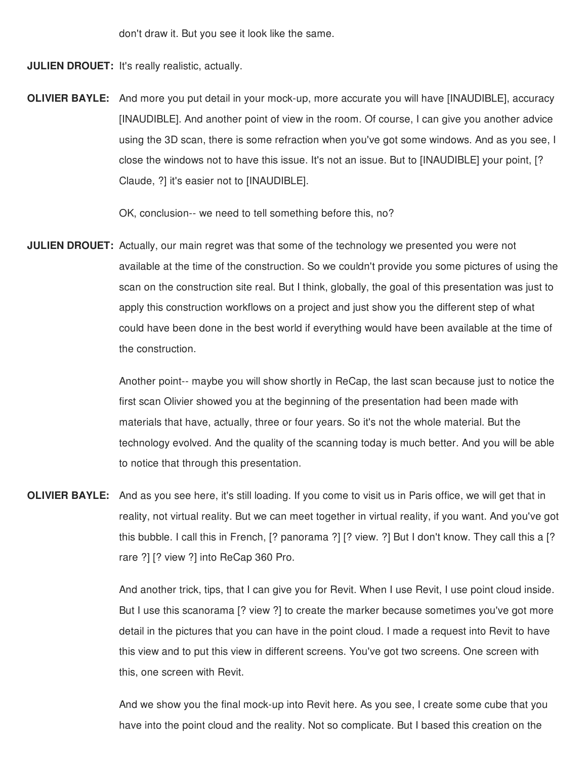don't draw it. But you see it look like the same.

**JULIEN DROUET:** It's really realistic, actually.

**OLIVIER BAYLE:** And more you put detail in your mock-up, more accurate you will have [INAUDIBLE], accuracy [INAUDIBLE]. And another point of view in the room. Of course, I can give you another advice using the 3D scan, there is some refraction when you've got some windows. And as you see, I close the windows not to have this issue. It's not an issue. But to [INAUDIBLE] your point, [? Claude, ?] it's easier not to [INAUDIBLE].

OK, conclusion-- we need to tell something before this, no?

**JULIEN DROUET:** Actually, our main regret was that some of the technology we presented you were not available at the time of the construction. So we couldn't provide you some pictures of using the scan on the construction site real. But I think, globally, the goal of this presentation was just to apply this construction workflows on a project and just show you the different step of what could have been done in the best world if everything would have been available at the time of the construction.

> Another point-- maybe you will show shortly in ReCap, the last scan because just to notice the first scan Olivier showed you at the beginning of the presentation had been made with materials that have, actually, three or four years. So it's not the whole material. But the technology evolved. And the quality of the scanning today is much better. And you will be able to notice that through this presentation.

**OLIVIER BAYLE:** And as you see here, it's still loading. If you come to visit us in Paris office, we will get that in reality, not virtual reality. But we can meet together in virtual reality, if you want. And you've got this bubble. I call this in French, [? panorama ?] [? view. ?] But I don't know. They call this a [? rare ?] [? view ?] into ReCap 360 Pro.

> And another trick, tips, that I can give you for Revit. When I use Revit, I use point cloud inside. But I use this scanorama [? view ?] to create the marker because sometimes you've got more detail in the pictures that you can have in the point cloud. I made a request into Revit to have this view and to put this view in different screens. You've got two screens. One screen with this, one screen with Revit.

And we show you the final mock-up into Revit here. As you see, I create some cube that you have into the point cloud and the reality. Not so complicate. But I based this creation on the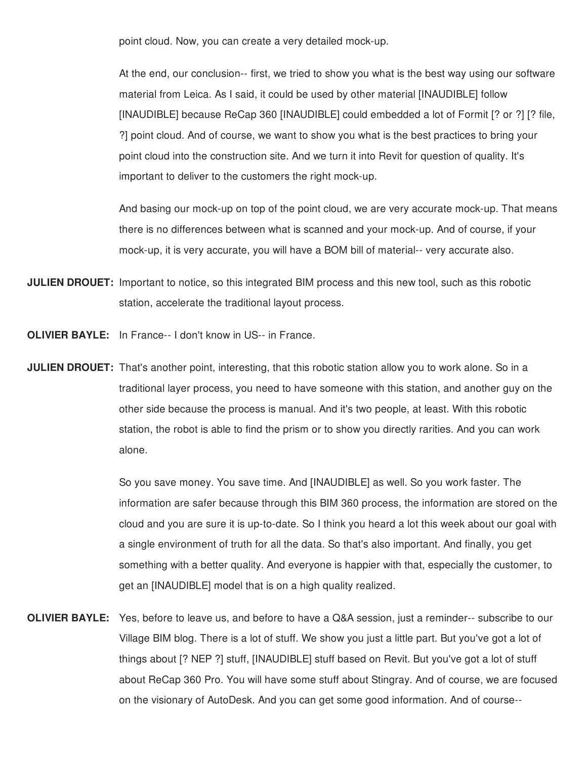point cloud. Now, you can create a very detailed mock-up.

At the end, our conclusion-- first, we tried to show you what is the best way using our software material from Leica. As I said, it could be used by other material [INAUDIBLE] follow [INAUDIBLE] because ReCap 360 [INAUDIBLE] could embedded a lot of Formit [? or ?] [? file, ?] point cloud. And of course, we want to show you what is the best practices to bring your point cloud into the construction site. And we turn it into Revit for question of quality. It's important to deliver to the customers the right mock-up.

And basing our mock-up on top of the point cloud, we are very accurate mock-up. That means there is no differences between what is scanned and your mock-up. And of course, if your mock-up, it is very accurate, you will have a BOM bill of material-- very accurate also.

- **JULIEN DROUET:** Important to notice, so this integrated BIM process and this new tool, such as this robotic station, accelerate the traditional layout process.
- **OLIVIER BAYLE:** In France-- I don't know in US-- in France.
- **JULIEN DROUET:** That's another point, interesting, that this robotic station allow you to work alone. So in a traditional layer process, you need to have someone with this station, and another guy on the other side because the process is manual. And it's two people, at least. With this robotic station, the robot is able to find the prism or to show you directly rarities. And you can work alone.

So you save money. You save time. And [INAUDIBLE] as well. So you work faster. The information are safer because through this BIM 360 process, the information are stored on the cloud and you are sure it is up-to-date. So I think you heard a lot this week about our goal with a single environment of truth for all the data. So that's also important. And finally, you get something with a better quality. And everyone is happier with that, especially the customer, to get an [INAUDIBLE] model that is on a high quality realized.

**OLIVIER BAYLE:** Yes, before to leave us, and before to have a Q&A session, just a reminder-- subscribe to our Village BIM blog. There is a lot of stuff. We show you just a little part. But you've got a lot of things about [? NEP ?] stuff, [INAUDIBLE] stuff based on Revit. But you've got a lot of stuff about ReCap 360 Pro. You will have some stuff about Stingray. And of course, we are focused on the visionary of AutoDesk. And you can get some good information. And of course--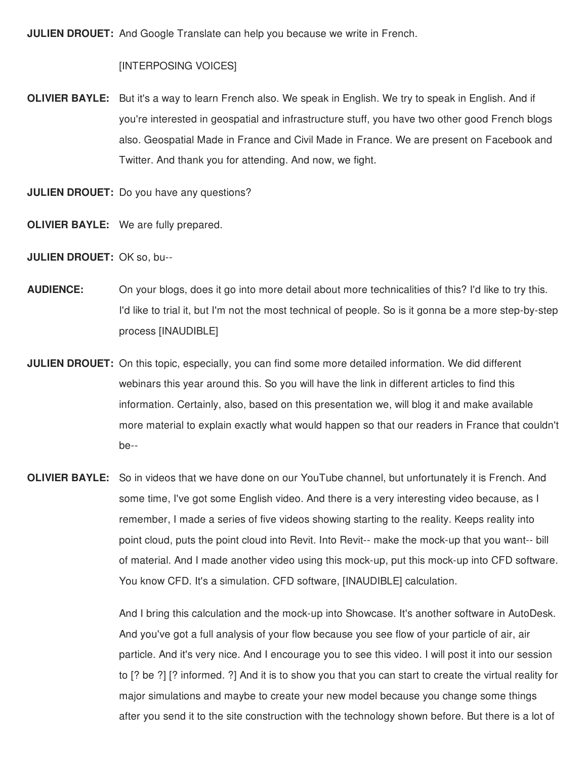**JULIEN DROUET:** And Google Translate can help you because we write in French.

## [INTERPOSING VOICES]

**OLIVIER BAYLE:** But it's a way to learn French also. We speak in English. We try to speak in English. And if you're interested in geospatial and infrastructure stuff, you have two other good French blogs also. Geospatial Made in France and Civil Made in France. We are present on Facebook and Twitter. And thank you for attending. And now, we fight.

**JULIEN DROUET:** Do you have any questions?

- **OLIVIER BAYLE:** We are fully prepared.
- **JULIEN DROUET:** OK so, bu--
- **AUDIENCE:** On your blogs, does it go into more detail about more technicalities of this? I'd like to try this. I'd like to trial it, but I'm not the most technical of people. So is it gonna be a more step-by-step process [INAUDIBLE]
- **JULIEN DROUET:** On this topic, especially, you can find some more detailed information. We did different webinars this year around this. So you will have the link in different articles to find this information. Certainly, also, based on this presentation we, will blog it and make available more material to explain exactly what would happen so that our readers in France that couldn't be--
- **OLIVIER BAYLE:** So in videos that we have done on our YouTube channel, but unfortunately it is French. And some time, I've got some English video. And there is a very interesting video because, as I remember, I made a series of five videos showing starting to the reality. Keeps reality into point cloud, puts the point cloud into Revit. Into Revit-- make the mock-up that you want-- bill of material. And I made another video using this mock-up, put this mock-up into CFD software. You know CFD. It's a simulation. CFD software, [INAUDIBLE] calculation.

And I bring this calculation and the mock-up into Showcase. It's another software in AutoDesk. And you've got a full analysis of your flow because you see flow of your particle of air, air particle. And it's very nice. And I encourage you to see this video. I will post it into our session to [? be ?] [? informed. ?] And it is to show you that you can start to create the virtual reality for major simulations and maybe to create your new model because you change some things after you send it to the site construction with the technology shown before. But there is a lot of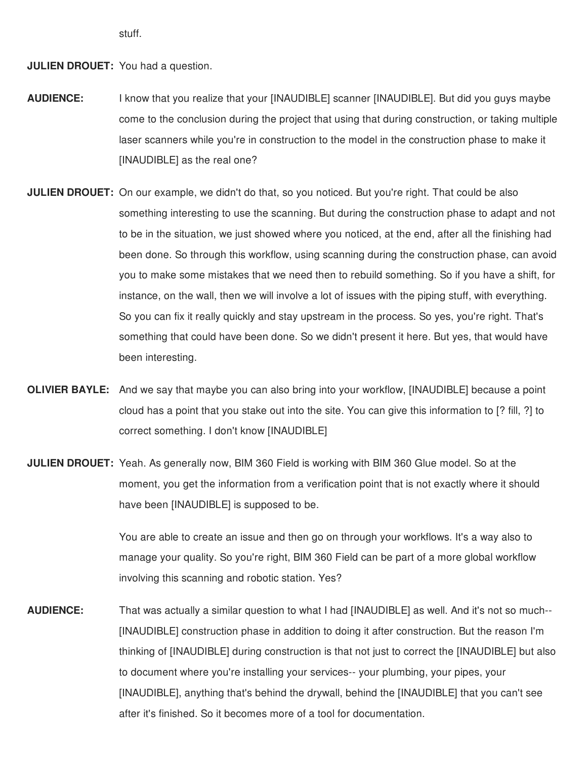stuff.

**JULIEN DROUET:** You had a question.

- **AUDIENCE:** I know that you realize that your [INAUDIBLE] scanner [INAUDIBLE]. But did you guys maybe come to the conclusion during the project that using that during construction, or taking multiple laser scanners while you're in construction to the model in the construction phase to make it [INAUDIBLE] as the real one?
- **JULIEN DROUET:** On our example, we didn't do that, so you noticed. But you're right. That could be also something interesting to use the scanning. But during the construction phase to adapt and not to be in the situation, we just showed where you noticed, at the end, after all the finishing had been done. So through this workflow, using scanning during the construction phase, can avoid you to make some mistakes that we need then to rebuild something. So if you have a shift, for instance, on the wall, then we will involve a lot of issues with the piping stuff, with everything. So you can fix it really quickly and stay upstream in the process. So yes, you're right. That's something that could have been done. So we didn't present it here. But yes, that would have been interesting.
- **OLIVIER BAYLE:** And we say that maybe you can also bring into your workflow, [INAUDIBLE] because a point cloud has a point that you stake out into the site. You can give this information to [? fill, ?] to correct something. I don't know [INAUDIBLE]
- **JULIEN DROUET:** Yeah. As generally now, BIM 360 Field is working with BIM 360 Glue model. So at the moment, you get the information from a verification point that is not exactly where it should have been [INAUDIBLE] is supposed to be.

You are able to create an issue and then go on through your workflows. It's a way also to manage your quality. So you're right, BIM 360 Field can be part of a more global workflow involving this scanning and robotic station. Yes?

**AUDIENCE:** That was actually a similar question to what I had [INAUDIBLE] as well. And it's not so much-- [INAUDIBLE] construction phase in addition to doing it after construction. But the reason I'm thinking of [INAUDIBLE] during construction is that not just to correct the [INAUDIBLE] but also to document where you're installing your services-- your plumbing, your pipes, your [INAUDIBLE], anything that's behind the drywall, behind the [INAUDIBLE] that you can't see after it's finished. So it becomes more of a tool for documentation.